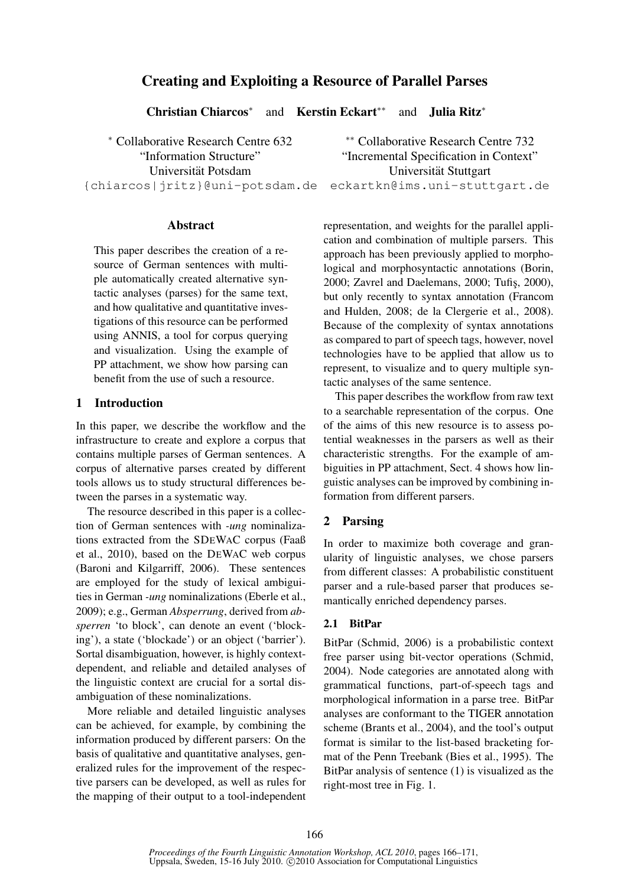# Creating and Exploiting a Resource of Parallel Parses

Christian Chiarcos<sup>∗</sup>

and Kerstin Eckart∗∗ and Julia Ritz<sup>∗</sup>

<sup>∗</sup> Collaborative Research Centre 632 ∗∗ Collaborative Research Centre 732

Abstract

This paper describes the creation of a resource of German sentences with multiple automatically created alternative syntactic analyses (parses) for the same text, and how qualitative and quantitative investigations of this resource can be performed using ANNIS, a tool for corpus querying and visualization. Using the example of PP attachment, we show how parsing can benefit from the use of such a resource.

# 1 Introduction

In this paper, we describe the workflow and the infrastructure to create and explore a corpus that contains multiple parses of German sentences. A corpus of alternative parses created by different tools allows us to study structural differences between the parses in a systematic way.

The resource described in this paper is a collection of German sentences with *-ung* nominalizations extracted from the SDEWAC corpus (Faaß et al., 2010), based on the DEWAC web corpus (Baroni and Kilgarriff, 2006). These sentences are employed for the study of lexical ambiguities in German *-ung* nominalizations (Eberle et al., 2009); e.g., German *Absperrung*, derived from *absperren* 'to block', can denote an event ('blocking'), a state ('blockade') or an object ('barrier'). Sortal disambiguation, however, is highly contextdependent, and reliable and detailed analyses of the linguistic context are crucial for a sortal disambiguation of these nominalizations.

More reliable and detailed linguistic analyses can be achieved, for example, by combining the information produced by different parsers: On the basis of qualitative and quantitative analyses, generalized rules for the improvement of the respective parsers can be developed, as well as rules for the mapping of their output to a tool-independent

"Information Structure" "Incremental Specification in Context" Universität Potsdam in Universität Stuttgart {chiarcos|jritz}@uni-potsdam.de eckartkn@ims.uni-stuttgart.de

> representation, and weights for the parallel application and combination of multiple parsers. This approach has been previously applied to morphological and morphosyntactic annotations (Borin, 2000; Zavrel and Daelemans, 2000; Tufis, 2000), but only recently to syntax annotation (Francom and Hulden, 2008; de la Clergerie et al., 2008). Because of the complexity of syntax annotations as compared to part of speech tags, however, novel technologies have to be applied that allow us to represent, to visualize and to query multiple syntactic analyses of the same sentence.

> This paper describes the workflow from raw text to a searchable representation of the corpus. One of the aims of this new resource is to assess potential weaknesses in the parsers as well as their characteristic strengths. For the example of ambiguities in PP attachment, Sect. 4 shows how linguistic analyses can be improved by combining information from different parsers.

# 2 Parsing

In order to maximize both coverage and granularity of linguistic analyses, we chose parsers from different classes: A probabilistic constituent parser and a rule-based parser that produces semantically enriched dependency parses.

# 2.1 BitPar

BitPar (Schmid, 2006) is a probabilistic context free parser using bit-vector operations (Schmid, 2004). Node categories are annotated along with grammatical functions, part-of-speech tags and morphological information in a parse tree. BitPar analyses are conformant to the TIGER annotation scheme (Brants et al., 2004), and the tool's output format is similar to the list-based bracketing format of the Penn Treebank (Bies et al., 1995). The BitPar analysis of sentence (1) is visualized as the right-most tree in Fig. 1.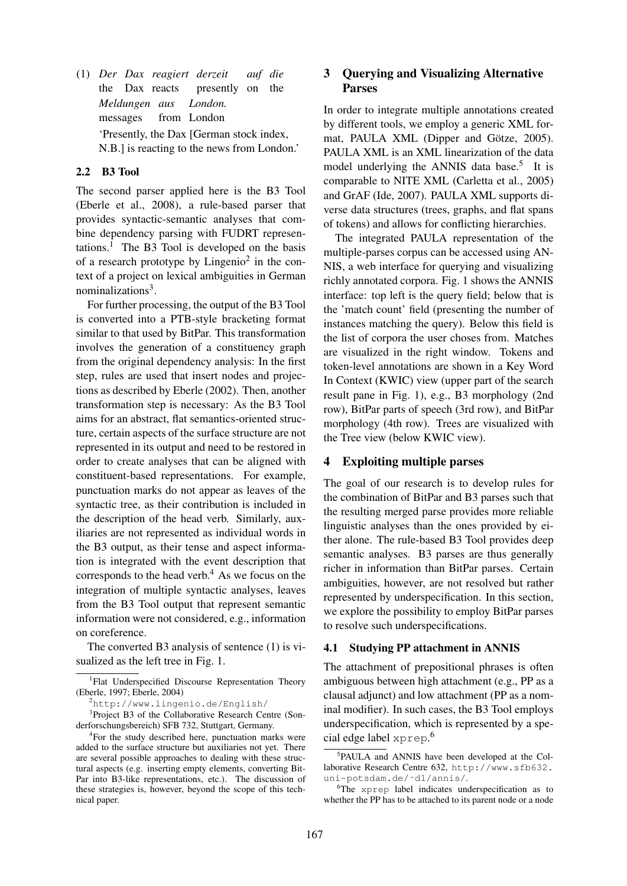(1) *Der Dax reagiert derzeit* the Dax reacts presently on *auf die* the *Meldungen aus* messages from London *London.* 'Presently, the Dax [German stock index, N.B.] is reacting to the news from London.'

### 2.2 B3 Tool

The second parser applied here is the B3 Tool (Eberle et al., 2008), a rule-based parser that provides syntactic-semantic analyses that combine dependency parsing with FUDRT representations.<sup>1</sup> The B3 Tool is developed on the basis of a research prototype by  $Lingenio<sup>2</sup>$  in the context of a project on lexical ambiguities in German nominalizations<sup>3</sup>.

For further processing, the output of the B3 Tool is converted into a PTB-style bracketing format similar to that used by BitPar. This transformation involves the generation of a constituency graph from the original dependency analysis: In the first step, rules are used that insert nodes and projections as described by Eberle (2002). Then, another transformation step is necessary: As the B3 Tool aims for an abstract, flat semantics-oriented structure, certain aspects of the surface structure are not represented in its output and need to be restored in order to create analyses that can be aligned with constituent-based representations. For example, punctuation marks do not appear as leaves of the syntactic tree, as their contribution is included in the description of the head verb. Similarly, auxiliaries are not represented as individual words in the B3 output, as their tense and aspect information is integrated with the event description that corresponds to the head verb. $4$  As we focus on the integration of multiple syntactic analyses, leaves from the B3 Tool output that represent semantic information were not considered, e.g., information on coreference.

The converted B3 analysis of sentence (1) is visualized as the left tree in Fig. 1.

<sup>2</sup>http://www.lingenio.de/English/

<sup>3</sup>Project B3 of the Collaborative Research Centre (Sonderforschungsbereich) SFB 732, Stuttgart, Germany.

## 3 Querying and Visualizing Alternative Parses

In order to integrate multiple annotations created by different tools, we employ a generic XML format, PAULA XML (Dipper and Götze, 2005). PAULA XML is an XML linearization of the data model underlying the ANNIS data base.<sup>5</sup> It is comparable to NITE XML (Carletta et al., 2005) and GrAF (Ide, 2007). PAULA XML supports diverse data structures (trees, graphs, and flat spans of tokens) and allows for conflicting hierarchies.

The integrated PAULA representation of the multiple-parses corpus can be accessed using AN-NIS, a web interface for querying and visualizing richly annotated corpora. Fig. 1 shows the ANNIS interface: top left is the query field; below that is the 'match count' field (presenting the number of instances matching the query). Below this field is the list of corpora the user choses from. Matches are visualized in the right window. Tokens and token-level annotations are shown in a Key Word In Context (KWIC) view (upper part of the search result pane in Fig. 1), e.g., B3 morphology (2nd row), BitPar parts of speech (3rd row), and BitPar morphology (4th row). Trees are visualized with the Tree view (below KWIC view).

#### 4 Exploiting multiple parses

The goal of our research is to develop rules for the combination of BitPar and B3 parses such that the resulting merged parse provides more reliable linguistic analyses than the ones provided by either alone. The rule-based B3 Tool provides deep semantic analyses. B3 parses are thus generally richer in information than BitPar parses. Certain ambiguities, however, are not resolved but rather represented by underspecification. In this section, we explore the possibility to employ BitPar parses to resolve such underspecifications.

#### 4.1 Studying PP attachment in ANNIS

The attachment of prepositional phrases is often ambiguous between high attachment (e.g., PP as a clausal adjunct) and low attachment (PP as a nominal modifier). In such cases, the B3 Tool employs underspecification, which is represented by a special edge label xprep. 6

<sup>&</sup>lt;sup>1</sup>Flat Underspecified Discourse Representation Theory (Eberle, 1997; Eberle, 2004)

<sup>&</sup>lt;sup>4</sup>For the study described here, punctuation marks were added to the surface structure but auxiliaries not yet. There are several possible approaches to dealing with these structural aspects (e.g. inserting empty elements, converting Bit-Par into B3-like representations, etc.). The discussion of these strategies is, however, beyond the scope of this technical paper.

<sup>5</sup> PAULA and ANNIS have been developed at the Collaborative Research Centre 632, http://www.sfb632. uni-potsdam.de/˜d1/annis/.

<sup>6</sup>The xprep label indicates underspecification as to whether the PP has to be attached to its parent node or a node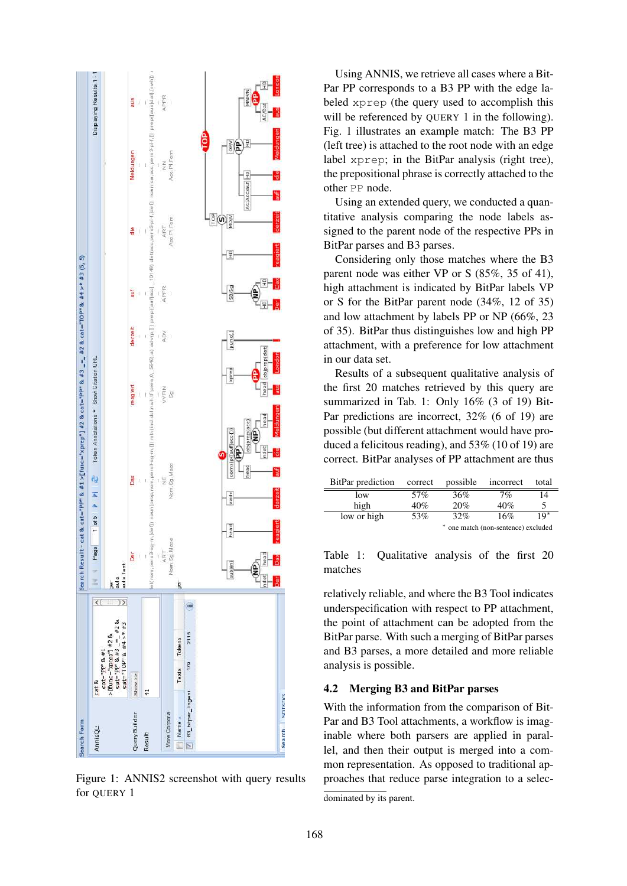

Figure 1: ANNIS2 screenshot with query results for OUERY 1

Using ANNIS, we retrieve all cases where a Bit-Par PP corresponds to a B3 PP with the edge labeled xprep (the query used to accomplish this will be referenced by QUERY 1 in the following). Fig. 1 illustrates an example match: The B3 PP (left tree) is attached to the root node with an edge label xprep; in the BitPar analysis (right tree), the prepositional phrase is correctly attached to the other PP node.

Using an extended query, we conducted a quantitative analysis comparing the node labels assigned to the parent node of the respective PPs in BitPar parses and B3 parses.

Considering only those matches where the B3 parent node was either VP or S (85%, 35 of 41), high attachment is indicated by BitPar labels VP or S for the BitPar parent node (34%, 12 of 35) and low attachment by labels PP or NP (66%, 23 of 35). BitPar thus distinguishes low and high PP attachment, with a preference for low attachment in our data set.

Results of a subsequent qualitative analysis of the first 20 matches retrieved by this query are summarized in Tab. 1: Only 16% (3 of 19) Bit-Par predictions are incorrect, 32% (6 of 19) are possible (but different attachment would have produced a felicitous reading), and 53% (10 of 19) are correct. BitPar analyses of PP attachment are thus

| BitPar prediction | correct                             | possible | incorrect | total |
|-------------------|-------------------------------------|----------|-----------|-------|
| low               | 57%                                 | 36%      | 7%        | 14    |
| high              | 40%                                 | 20%      | 40%       | 5     |
| low or high       | 53%                                 | 32%      | 16%       | 10*   |
|                   | * one match (non-sentence) excluded |          |           |       |

Table 1: Qualitative analysis of the first 20 matches

relatively reliable, and where the B3 Tool indicates underspecification with respect to PP attachment, the point of attachment can be adopted from the BitPar parse. With such a merging of BitPar parses and B3 parses, a more detailed and more reliable analysis is possible.

#### 4.2 Merging B3 and BitPar parses

With the information from the comparison of Bit-Par and B3 Tool attachments, a workflow is imaginable where both parsers are applied in parallel, and then their output is merged into a common representation. As opposed to traditional approaches that reduce parse integration to a selec-

dominated by its parent.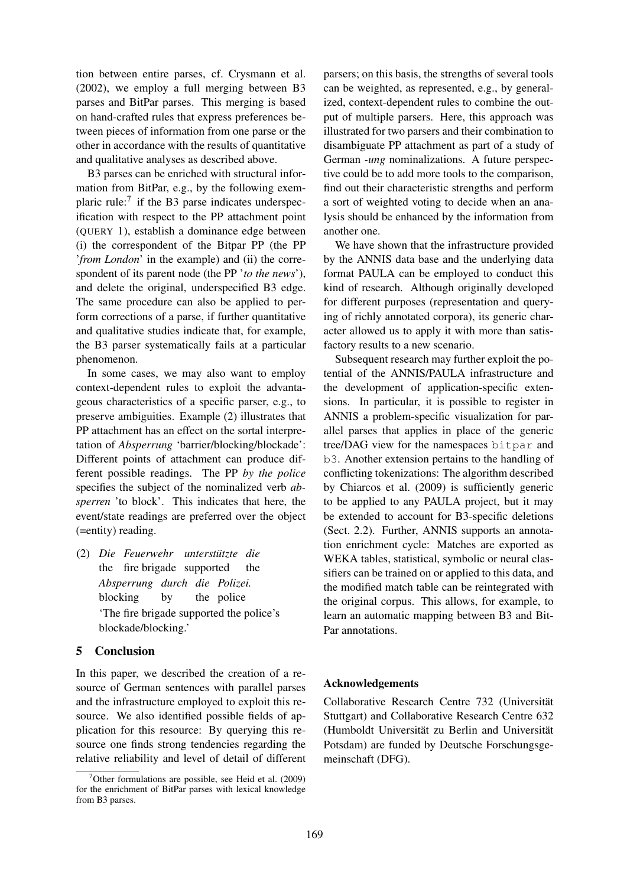tion between entire parses, cf. Crysmann et al. (2002), we employ a full merging between B3 parses and BitPar parses. This merging is based on hand-crafted rules that express preferences between pieces of information from one parse or the other in accordance with the results of quantitative and qualitative analyses as described above.

B3 parses can be enriched with structural information from BitPar, e.g., by the following exemplaric rule:<sup>7</sup> if the B3 parse indicates underspecification with respect to the PP attachment point (QUERY 1), establish a dominance edge between (i) the correspondent of the Bitpar PP (the PP '*from London*' in the example) and (ii) the correspondent of its parent node (the PP '*to the news*'), and delete the original, underspecified B3 edge. The same procedure can also be applied to perform corrections of a parse, if further quantitative and qualitative studies indicate that, for example, the B3 parser systematically fails at a particular phenomenon.

In some cases, we may also want to employ context-dependent rules to exploit the advantageous characteristics of a specific parser, e.g., to preserve ambiguities. Example (2) illustrates that PP attachment has an effect on the sortal interpretation of *Absperrung* 'barrier/blocking/blockade': Different points of attachment can produce different possible readings. The PP *by the police* specifies the subject of the nominalized verb *absperren* 'to block'. This indicates that here, the event/state readings are preferred over the object (=entity) reading.

(2) Die Feuerwehr unterstützte die the fire brigade supported the *Absperrung durch die Polizei.* blocking by the police 'The fire brigade supported the police's blockade/blocking.'

### 5 Conclusion

In this paper, we described the creation of a resource of German sentences with parallel parses and the infrastructure employed to exploit this resource. We also identified possible fields of application for this resource: By querying this resource one finds strong tendencies regarding the relative reliability and level of detail of different parsers; on this basis, the strengths of several tools can be weighted, as represented, e.g., by generalized, context-dependent rules to combine the output of multiple parsers. Here, this approach was illustrated for two parsers and their combination to disambiguate PP attachment as part of a study of German *-ung* nominalizations. A future perspective could be to add more tools to the comparison, find out their characteristic strengths and perform a sort of weighted voting to decide when an analysis should be enhanced by the information from another one.

We have shown that the infrastructure provided by the ANNIS data base and the underlying data format PAULA can be employed to conduct this kind of research. Although originally developed for different purposes (representation and querying of richly annotated corpora), its generic character allowed us to apply it with more than satisfactory results to a new scenario.

Subsequent research may further exploit the potential of the ANNIS/PAULA infrastructure and the development of application-specific extensions. In particular, it is possible to register in ANNIS a problem-specific visualization for parallel parses that applies in place of the generic tree/DAG view for the namespaces bitpar and b3. Another extension pertains to the handling of conflicting tokenizations: The algorithm described by Chiarcos et al. (2009) is sufficiently generic to be applied to any PAULA project, but it may be extended to account for B3-specific deletions (Sect. 2.2). Further, ANNIS supports an annotation enrichment cycle: Matches are exported as WEKA tables, statistical, symbolic or neural classifiers can be trained on or applied to this data, and the modified match table can be reintegrated with the original corpus. This allows, for example, to learn an automatic mapping between B3 and Bit-Par annotations.

#### Acknowledgements

Collaborative Research Centre 732 (Universitat¨ Stuttgart) and Collaborative Research Centre 632 (Humboldt Universität zu Berlin and Universität Potsdam) are funded by Deutsche Forschungsgemeinschaft (DFG).

<sup>&</sup>lt;sup>7</sup>Other formulations are possible, see Heid et al.  $(2009)$ for the enrichment of BitPar parses with lexical knowledge from B3 parses.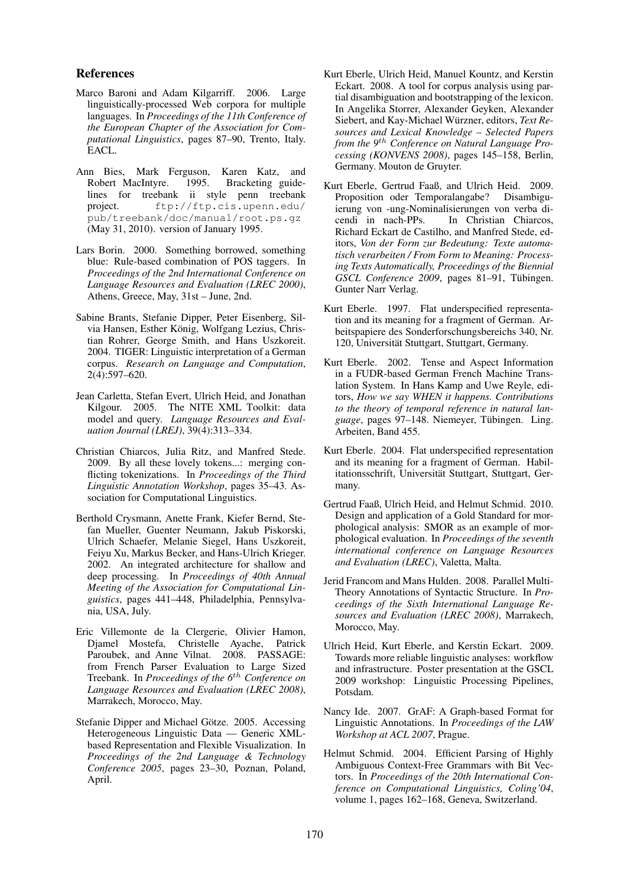### References

- Marco Baroni and Adam Kilgarriff. 2006. Large linguistically-processed Web corpora for multiple languages. In *Proceedings of the 11th Conference of the European Chapter of the Association for Computational Linguistics*, pages 87–90, Trento, Italy. EACL.
- Ann Bies, Mark Ferguson, Karen Katz, and Robert MacIntyre. 1995. Bracketing guidelines for treebank ii style penn treebank project. ftp://ftp.cis.upenn.edu/ pub/treebank/doc/manual/root.ps.gz (May 31, 2010). version of January 1995.
- Lars Borin. 2000. Something borrowed, something blue: Rule-based combination of POS taggers. In *Proceedings of the 2nd International Conference on Language Resources and Evaluation (LREC 2000)*, Athens, Greece, May, 31st – June, 2nd.
- Sabine Brants, Stefanie Dipper, Peter Eisenberg, Silvia Hansen, Esther König, Wolfgang Lezius, Christian Rohrer, George Smith, and Hans Uszkoreit. 2004. TIGER: Linguistic interpretation of a German corpus. *Research on Language and Computation*, 2(4):597–620.
- Jean Carletta, Stefan Evert, Ulrich Heid, and Jonathan Kilgour. 2005. The NITE XML Toolkit: data model and query. *Language Resources and Evaluation Journal (LREJ)*, 39(4):313–334.
- Christian Chiarcos, Julia Ritz, and Manfred Stede. 2009. By all these lovely tokens...: merging conflicting tokenizations. In *Proceedings of the Third Linguistic Annotation Workshop*, pages 35–43. Association for Computational Linguistics.
- Berthold Crysmann, Anette Frank, Kiefer Bernd, Stefan Mueller, Guenter Neumann, Jakub Piskorski, Ulrich Schaefer, Melanie Siegel, Hans Uszkoreit, Feiyu Xu, Markus Becker, and Hans-Ulrich Krieger. 2002. An integrated architecture for shallow and deep processing. In *Proceedings of 40th Annual Meeting of the Association for Computational Linguistics*, pages 441–448, Philadelphia, Pennsylvania, USA, July.
- Eric Villemonte de la Clergerie, Olivier Hamon, Djamel Mostefa, Christelle Ayache, Patrick Paroubek, and Anne Vilnat. 2008. PASSAGE: from French Parser Evaluation to Large Sized Treebank. In *Proceedings of the 6*th *Conference on Language Resources and Evaluation (LREC 2008)*, Marrakech, Morocco, May.
- Stefanie Dipper and Michael Götze. 2005. Accessing Heterogeneous Linguistic Data — Generic XMLbased Representation and Flexible Visualization. In *Proceedings of the 2nd Language & Technology Conference 2005*, pages 23–30, Poznan, Poland, April.
- Kurt Eberle, Ulrich Heid, Manuel Kountz, and Kerstin Eckart. 2008. A tool for corpus analysis using partial disambiguation and bootstrapping of the lexicon. In Angelika Storrer, Alexander Geyken, Alexander Siebert, and Kay-Michael Würzner, editors, Text Re*sources and Lexical Knowledge – Selected Papers from the 9*th *Conference on Natural Language Processing (KONVENS 2008)*, pages 145–158, Berlin, Germany. Mouton de Gruyter.
- Kurt Eberle, Gertrud Faaß, and Ulrich Heid. 2009. Proposition oder Temporalangabe? Disambiguierung von -ung-Nominalisierungen von verba dicendi in nach-PPs. In Christian Chiarcos, Richard Eckart de Castilho, and Manfred Stede, editors, *Von der Form zur Bedeutung: Texte automatisch verarbeiten / From Form to Meaning: Processing Texts Automatically, Proceedings of the Biennial GSCL Conference 2009*, pages 81–91, Tübingen. Gunter Narr Verlag.
- Kurt Eberle. 1997. Flat underspecified representation and its meaning for a fragment of German. Arbeitspapiere des Sonderforschungsbereichs 340, Nr. 120, Universität Stuttgart, Stuttgart, Germany.
- Kurt Eberle. 2002. Tense and Aspect Information in a FUDR-based German French Machine Translation System. In Hans Kamp and Uwe Reyle, editors, *How we say WHEN it happens. Contributions to the theory of temporal reference in natural language*, pages 97–148. Niemeyer, Tubingen. Ling. ¨ Arbeiten, Band 455.
- Kurt Eberle. 2004. Flat underspecified representation and its meaning for a fragment of German. Habilitationsschrift, Universität Stuttgart, Stuttgart, Germany.
- Gertrud Faaß, Ulrich Heid, and Helmut Schmid. 2010. Design and application of a Gold Standard for morphological analysis: SMOR as an example of morphological evaluation. In *Proceedings of the seventh international conference on Language Resources and Evaluation (LREC)*, Valetta, Malta.
- Jerid Francom and Mans Hulden. 2008. Parallel Multi-Theory Annotations of Syntactic Structure. In *Proceedings of the Sixth International Language Resources and Evaluation (LREC 2008)*, Marrakech, Morocco, May.
- Ulrich Heid, Kurt Eberle, and Kerstin Eckart. 2009. Towards more reliable linguistic analyses: workflow and infrastructure. Poster presentation at the GSCL 2009 workshop: Linguistic Processing Pipelines, Potsdam.
- Nancy Ide. 2007. GrAF: A Graph-based Format for Linguistic Annotations. In *Proceedings of the LAW Workshop at ACL 2007*, Prague.
- Helmut Schmid. 2004. Efficient Parsing of Highly Ambiguous Context-Free Grammars with Bit Vectors. In *Proceedings of the 20th International Conference on Computational Linguistics, Coling'04*, volume 1, pages 162–168, Geneva, Switzerland.